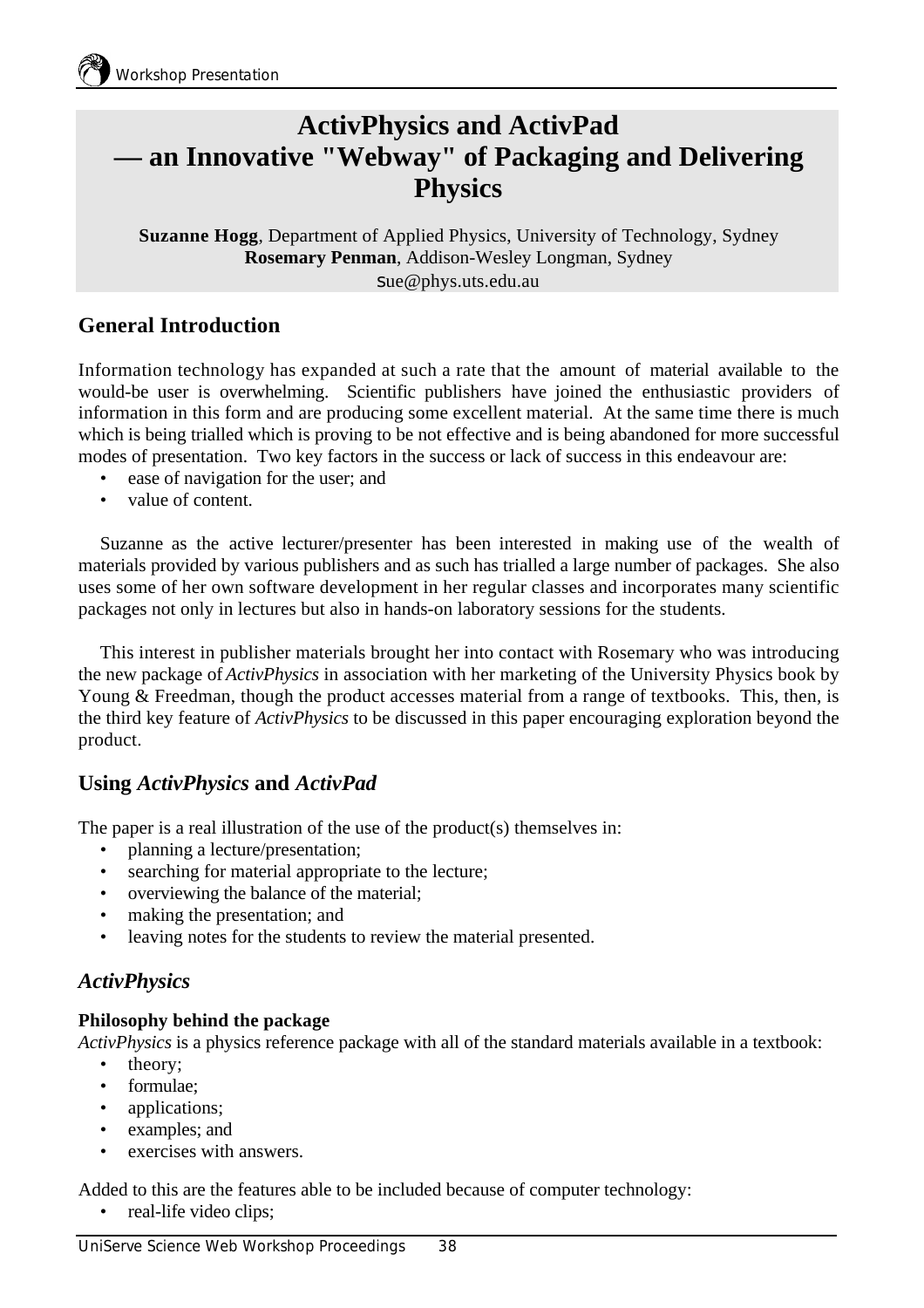# **ActivPhysics and ActivPad — an Innovative "Webway" of Packaging and Delivering Physics**

**Suzanne Hogg**, Department of Applied Physics, University of Technology, Sydney **Rosemary Penman**, Addison-Wesley Longman, Sydney sue@phys.uts.edu.au

# **General Introduction**

Information technology has expanded at such a rate that the amount of material available to the would-be user is overwhelming. Scientific publishers have joined the enthusiastic providers of information in this form and are producing some excellent material. At the same time there is much which is being trialled which is proving to be not effective and is being abandoned for more successful modes of presentation. Two key factors in the success or lack of success in this endeavour are:

- ease of navigation for the user; and
- value of content.

Suzanne as the active lecturer/presenter has been interested in making use of the wealth of materials provided by various publishers and as such has trialled a large number of packages. She also uses some of her own software development in her regular classes and incorporates many scientific packages not only in lectures but also in hands-on laboratory sessions for the students.

This interest in publisher materials brought her into contact with Rosemary who was introducing the new package of *ActivPhysics* in association with her marketing of the University Physics book by Young & Freedman, though the product accesses material from a range of textbooks. This, then, is the third key feature of *ActivPhysics* to be discussed in this paper encouraging exploration beyond the product.

### **Using** *ActivPhysics* **and** *ActivPad*

The paper is a real illustration of the use of the product(s) themselves in:

- planning a lecture/presentation;
- searching for material appropriate to the lecture;
- overviewing the balance of the material;
- making the presentation; and
- leaving notes for the students to review the material presented.

### *ActivPhysics*

#### **Philosophy behind the package**

*ActivPhysics* is a physics reference package with all of the standard materials available in a textbook:

- theory:
- formulae:
- applications;
- examples; and
- exercises with answers.

Added to this are the features able to be included because of computer technology:

• real-life video clips;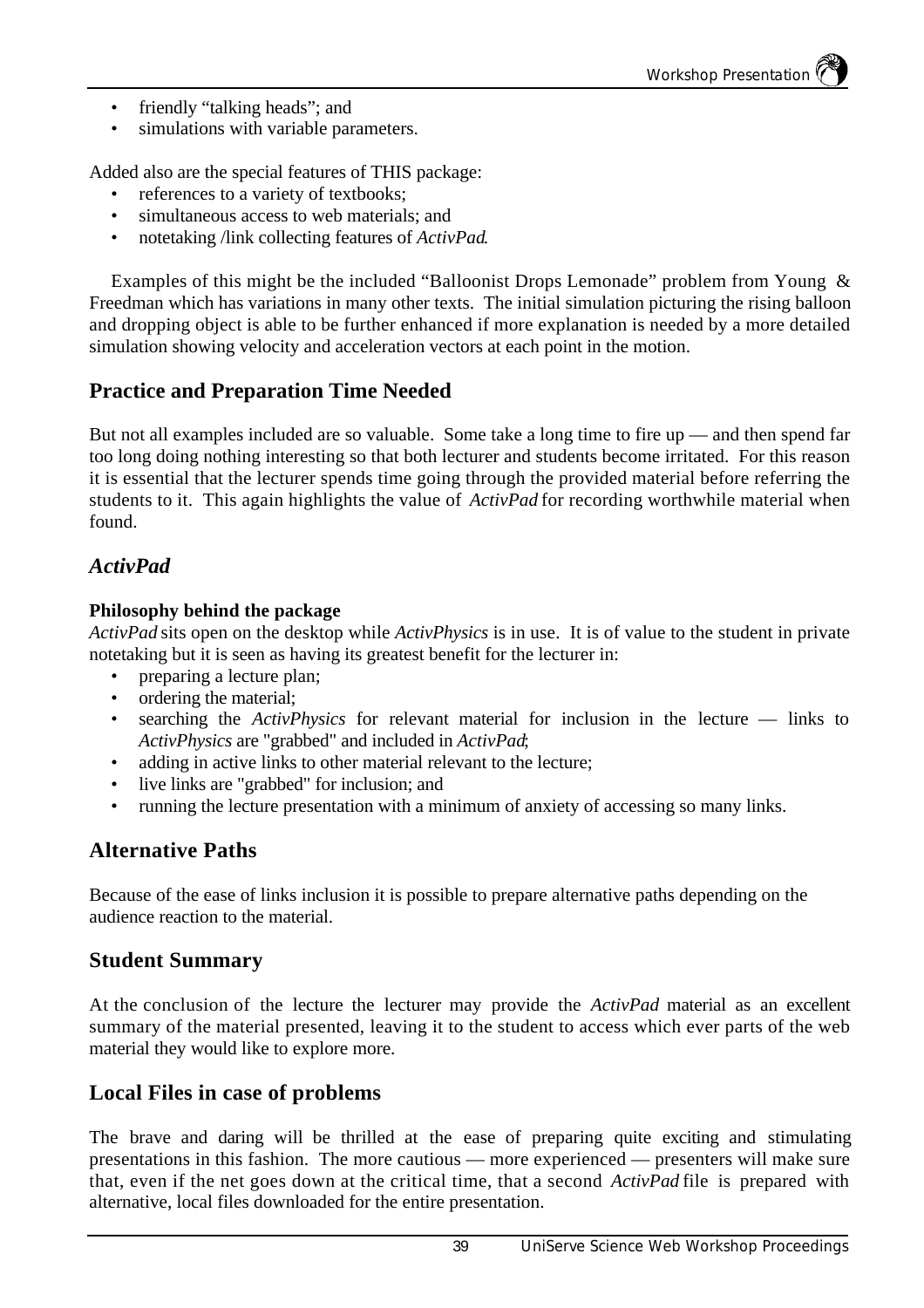- friendly "talking heads"; and
- simulations with variable parameters.

Added also are the special features of THIS package:

- references to a variety of textbooks;
- simultaneous access to web materials; and
- notetaking /link collecting features of *ActivPad*.

Examples of this might be the included "Balloonist Drops Lemonade" problem from Young & Freedman which has variations in many other texts. The initial simulation picturing the rising balloon and dropping object is able to be further enhanced if more explanation is needed by a more detailed simulation showing velocity and acceleration vectors at each point in the motion.

### **Practice and Preparation Time Needed**

But not all examples included are so valuable. Some take a long time to fire up — and then spend far too long doing nothing interesting so that both lecturer and students become irritated. For this reason it is essential that the lecturer spends time going through the provided material before referring the students to it. This again highlights the value of *ActivPad* for recording worthwhile material when found.

### *ActivPad*

#### **Philosophy behind the package**

*ActivPad* sits open on the desktop while *ActivPhysics* is in use. It is of value to the student in private notetaking but it is seen as having its greatest benefit for the lecturer in:

- preparing a lecture plan;
- ordering the material;
- searching the *ActivPhysics* for relevant material for inclusion in the lecture links to *ActivPhysics* are "grabbed" and included in *ActivPad*;
- adding in active links to other material relevant to the lecture;
- live links are "grabbed" for inclusion; and
- running the lecture presentation with a minimum of anxiety of accessing so many links.

### **Alternative Paths**

Because of the ease of links inclusion it is possible to prepare alternative paths depending on the audience reaction to the material.

### **Student Summary**

At the conclusion of the lecture the lecturer may provide the *ActivPad* material as an excellent summary of the material presented, leaving it to the student to access which ever parts of the web material they would like to explore more.

### **Local Files in case of problems**

The brave and daring will be thrilled at the ease of preparing quite exciting and stimulating presentations in this fashion. The more cautious — more experienced — presenters will make sure that, even if the net goes down at the critical time, that a second *ActivPad* file is prepared with alternative, local files downloaded for the entire presentation.